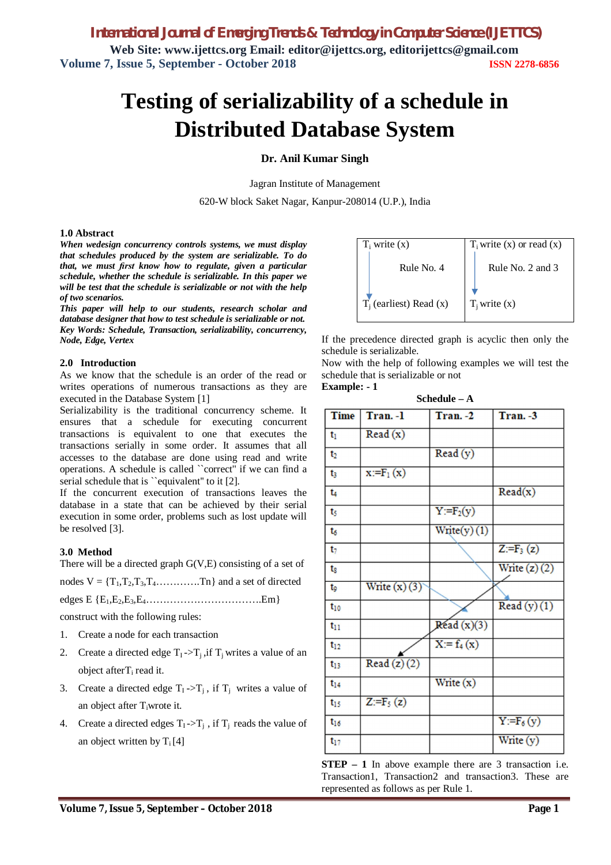# **Testing of serializability of a schedule in Distributed Database System**

### **Dr. Anil Kumar Singh**

Jagran Institute of Management

620-W block Saket Nagar, Kanpur-208014 (U.P.), India

#### **1.0 Abstract**

*When wedesign concurrency controls systems, we must display that schedules produced by the system are serializable. To do that, we must first know how to regulate, given a particular schedule, whether the schedule is serializable. In this paper we will be test that the schedule is serializable or not with the help of two scenarios.* 

*This paper will help to our students, research scholar and database designer that how to test schedule is serializable or not. Key Words: Schedule, Transaction, serializability, concurrency, Node, Edge, Vertex* 

### **2.0 Introduction**

As we know that the schedule is an order of the read or writes operations of numerous transactions as they are executed in the Database System [1]

Serializability is the traditional concurrency scheme. It ensures that a schedule for executing concurrent transactions is equivalent to one that executes the transactions serially in some order. It assumes that all accesses to the database are done using read and write operations. A schedule is called ``correct'' if we can find a serial schedule that is "equivalent" to it [2].

If the concurrent execution of transactions leaves the database in a state that can be achieved by their serial execution in some order, problems such as lost update will be resolved [3].

### **3.0 Method**

There will be a directed graph G(V,E) consisting of a set of

nodes  $V = \{T_1, T_2, T_3, T_4, \ldots, T_n\}$  and a set of directed

edges  $E \{E_1, E_2, E_3, E_4, \ldots, \ldots, \ldots, \ldots, \ldots, E_m\}$ 

construct with the following rules:

- 1. Create a node for each transaction
- 2. Create a directed edge  $T_1 \rightarrow T_i$ , if  $T_i$  writes a value of an object after  $T_i$  read it.
- 3. Create a directed edge  $T_1 \rightarrow T_i$ , if  $T_i$  writes a value of an object after Tiwrote it.
- 4. Create a directed edges  $T_1 \rightarrow T_i$ , if  $T_i$  reads the value of an object written by  $T_i[4]$

| $T_i$ write $(x)$         | $T_i$ write $(x)$ or read $(x)$ |  |
|---------------------------|---------------------------------|--|
| Rule No. 4                | Rule No. 2 and 3                |  |
| $T_i$ (earliest) Read (x) | $T_i$ write $(x)$               |  |

If the precedence directed graph is acyclic then only the schedule is serializable.

Now with the help of following examples we will test the schedule that is serializable or not

**Schedule – A**

### **Example: - 1**

| $\text{S}$ CHEUCHE $-$ A |                |                                |                                |  |
|--------------------------|----------------|--------------------------------|--------------------------------|--|
| Time                     | Tran. - 1      | Tran. - 2                      | Tran. - 3                      |  |
| $t_1$                    | Read(x)        |                                |                                |  |
| $t_2$                    |                | Read(y)                        |                                |  |
| t,                       | $x:=F_1(x)$    |                                |                                |  |
| t <sub>4</sub>           |                |                                | Read(x)                        |  |
| ts                       |                | $Y = F_2(y)$                   |                                |  |
| ts                       |                | Write(y)(1)                    |                                |  |
| t,                       |                |                                | $Z:=F_3(z)$                    |  |
| ts                       |                |                                | Write $(z)(2)$                 |  |
| tg                       | Write $(x)(3)$ |                                |                                |  |
| $t_{10}$                 |                |                                | $\overline{\text{Read}(y)}(1)$ |  |
| $t_{11}$                 |                | $\overline{\text{Read}(x)}(3)$ |                                |  |
| $t_{12}$                 |                | $\overline{X} = f_4(x)$        |                                |  |
| $t_{13}$                 | Read $(z)(2)$  |                                |                                |  |
| $t_{14}$                 |                | Write $(x)$                    |                                |  |
| $t_{15}$                 | $Z:=F_5(z)$    |                                |                                |  |
| $t_{16}$                 |                |                                | $Y = F_6(y)$                   |  |
| $t_{17}$                 |                |                                | Write (y)                      |  |

**STEP – 1** In above example there are 3 transaction i.e. Transaction1, Transaction2 and transaction3. These are represented as follows as per Rule 1.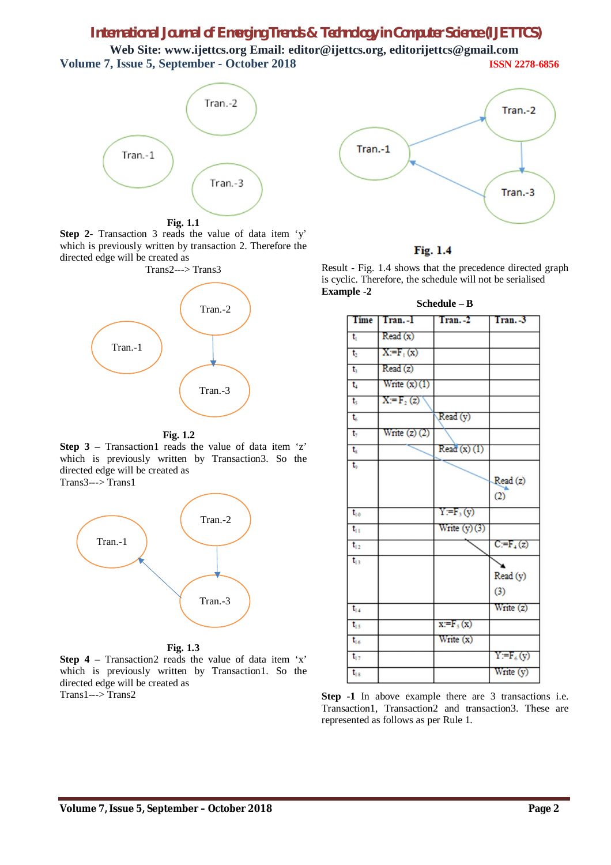# *International Journal of Emerging Trends & Technology in Computer Science (IJETTCS)*

**Web Site: www.ijettcs.org Email: editor@ijettcs.org, editorijettcs@gmail.com Volume 7, Issue 5, September - October 2018 ISSN 2278-6856**



**Fig. 1.1**

**Step 2-** Transaction 3 reads the value of data item 'y' which is previously written by transaction 2. Therefore the directed edge will be created as



**Fig. 1.2**

**Step 3** – Transaction1 reads the value of data item 'z' which is previously written by Transaction3. So the directed edge will be created as Trans3---> Trans1



**Fig. 1.3**

**Step 4 –** Transaction2 reads the value of data item 'x' which is previously written by Transaction1. So the directed edge will be created as Trans1---> Trans2





Result - Fig. 1.4 shows that the precedence directed graph is cyclic. Therefore, the schedule will not be serialised **Example -2**



**Step -1** In above example there are 3 transactions i.e. Transaction1, Transaction2 and transaction3. These are represented as follows as per Rule 1.